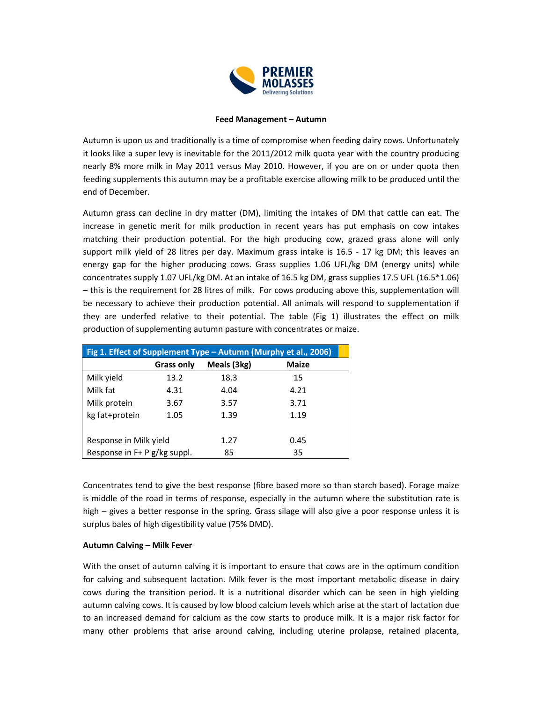

## **Feed Management – Autumn**

Autumn is upon us and traditionally is a time of compromise when feeding dairy cows. Unfortunately it looks like a super levy is inevitable for the 2011/2012 milk quota year with the country producing nearly 8% more milk in May 2011 versus May 2010. However, if you are on or under quota then feeding supplements this autumn may be a profitable exercise allowing milk to be produced until the end of December.

Autumn grass can decline in dry matter (DM), limiting the intakes of DM that cattle can eat. The increase in genetic merit for milk production in recent years has put emphasis on cow intakes matching their production potential. For the high producing cow, grazed grass alone will only support milk yield of 28 litres per day. Maximum grass intake is 16.5 - 17 kg DM; this leaves an energy gap for the higher producing cows. Grass supplies 1.06 UFL/kg DM (energy units) while concentrates supply 1.07 UFL/kg DM. At an intake of 16.5 kg DM, grass supplies 17.5 UFL (16.5\*1.06) – this is the requirement for 28 litres of milk. For cows producing above this, supplementation will be necessary to achieve their production potential. All animals will respond to supplementation if they are underfed relative to their potential. The table (Fig 1) illustrates the effect on milk production of supplementing autumn pasture with concentrates or maize.

| Fig 1. Effect of Supplement Type - Autumn (Murphy et al., 2006) |            |             |              |
|-----------------------------------------------------------------|------------|-------------|--------------|
|                                                                 | Grass only | Meals (3kg) | <b>Maize</b> |
| Milk yield                                                      | 13.2       | 18.3        | 15           |
| Milk fat                                                        | 4.31       | 4.04        | 4.21         |
| Milk protein                                                    | 3.67       | 3.57        | 3.71         |
| kg fat+protein                                                  | 1.05       | 1.39        | 1.19         |
|                                                                 |            |             |              |
| Response in Milk yield                                          |            | 1.27        | 0.45         |
| Response in F+ P g/kg suppl.                                    |            | 85          | 35           |

Concentrates tend to give the best response (fibre based more so than starch based). Forage maize is middle of the road in terms of response, especially in the autumn where the substitution rate is high – gives a better response in the spring. Grass silage will also give a poor response unless it is surplus bales of high digestibility value (75% DMD).

## **Autumn Calving – Milk Fever**

With the onset of autumn calving it is important to ensure that cows are in the optimum condition for calving and subsequent lactation. Milk fever is the most important metabolic disease in dairy cows during the transition period. It is a nutritional disorder which can be seen in high yielding autumn calving cows. It is caused by low blood calcium levels which arise at the start of lactation due to an increased demand for calcium as the cow starts to produce milk. It is a major risk factor for many other problems that arise around calving, including uterine prolapse, retained placenta,